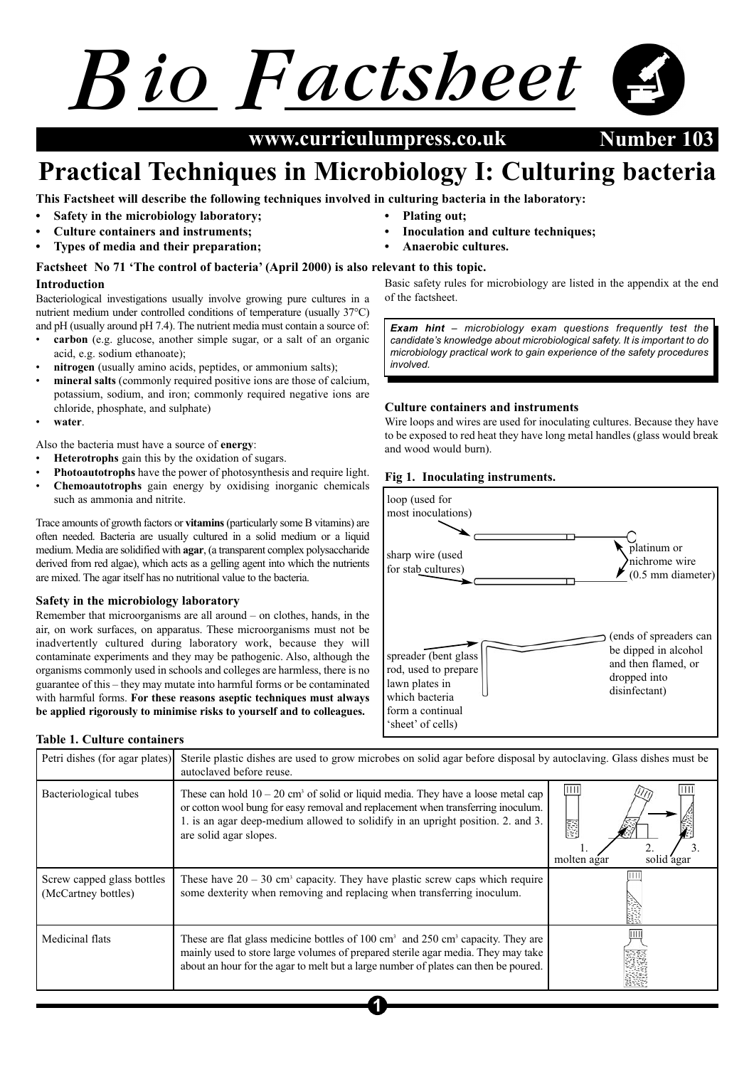# *B F io actsheet*

**April 2002 Number 103 www.curriculumpress.co.uk**

## **Practical Techniques in Microbiology I: Culturing bacteria**

**This Factsheet will describe the following techniques involved in culturing bacteria in the laboratory:**

- **Safety in the microbiology laboratory;**
- **Culture containers and instruments;**
- **Types of media and their preparation;**

#### **Introduction Factsheet No 71 'The control of bacteria' (April 2000) is also relevant to this topic.**

Bacteriological investigations usually involve growing pure cultures in a nutrient medium under controlled conditions of temperature (usually 37°C) and pH (usually around pH 7.4). The nutrient media must contain a source of:

- **carbon** (e.g. glucose, another simple sugar, or a salt of an organic acid, e.g. sodium ethanoate);
- **nitrogen** (usually amino acids, peptides, or ammonium salts);
- **mineral salts** (commonly required positive ions are those of calcium, potassium, sodium, and iron; commonly required negative ions are chloride, phosphate, and sulphate)
- **water**.

Also the bacteria must have a source of **energy**:

- **Heterotrophs** gain this by the oxidation of sugars.
- **Photoautotrophs** have the power of photosynthesis and require light.
- **Chemoautotrophs** gain energy by oxidising inorganic chemicals such as ammonia and nitrite.

Trace amounts of growth factors or **vitamins**(particularly some B vitamins) are often needed. Bacteria are usually cultured in a solid medium or a liquid medium. Media are solidified with **agar**, (a transparent complex polysaccharide derived from red algae), which acts as a gelling agent into which the nutrients are mixed. The agar itself has no nutritional value to the bacteria.

#### **Safety in the microbiology laboratory**

Remember that microorganisms are all around – on clothes, hands, in the air, on work surfaces, on apparatus. These microorganisms must not be inadvertently cultured during laboratory work, because they will contaminate experiments and they may be pathogenic. Also, although the organisms commonly used in schools and colleges are harmless, there is no guarantee of this – they may mutate into harmful forms or be contaminated with harmful forms. **For these reasons aseptic techniques must always be applied rigorously to minimise risks to yourself and to colleagues.**

**• Plating out;**

- **Inoculation and culture techniques;**
- **Anaerobic cultures.**

Basic safety rules for microbiology are listed in the appendix at the end of the factsheet.

*Exam hint – microbiology exam questions frequently test the candidate's knowledge about microbiological safety. It is important to do microbiology practical work to gain experience of the safety procedures involved.*

#### **Culture containers and instruments**

Wire loops and wires are used for inoculating cultures. Because they have to be exposed to red heat they have long metal handles (glass would break and wood would burn).

#### **Fig 1. Inoculating instruments.**



#### **Table 1. Culture containers**

| Petri dishes (for agar plates)                    | Sterile plastic dishes are used to grow microbes on solid agar before disposal by autoclaving. Glass dishes must be<br>autoclaved before reuse.                                                                                                                                                 |                                    |
|---------------------------------------------------|-------------------------------------------------------------------------------------------------------------------------------------------------------------------------------------------------------------------------------------------------------------------------------------------------|------------------------------------|
| Bacteriological tubes                             | These can hold $10 - 20$ cm <sup>3</sup> of solid or liquid media. They have a loose metal cap<br>or cotton wool bung for easy removal and replacement when transferring inoculum.<br>1. is an agar deep-medium allowed to solidify in an upright position. 2. and 3.<br>are solid agar slopes. | <br>震<br>molten agar<br>solid agai |
| Screw capped glass bottles<br>(McCartney bottles) | These have $20 - 30$ cm <sup>3</sup> capacity. They have plastic screw caps which require<br>some dexterity when removing and replacing when transferring inoculum.                                                                                                                             |                                    |
| Medicinal flats                                   | These are flat glass medicine bottles of $100 \text{ cm}^3$ and $250 \text{ cm}^3$ capacity. They are<br>mainly used to store large volumes of prepared sterile agar media. They may take<br>about an hour for the agar to melt but a large number of plates can then be poured.                |                                    |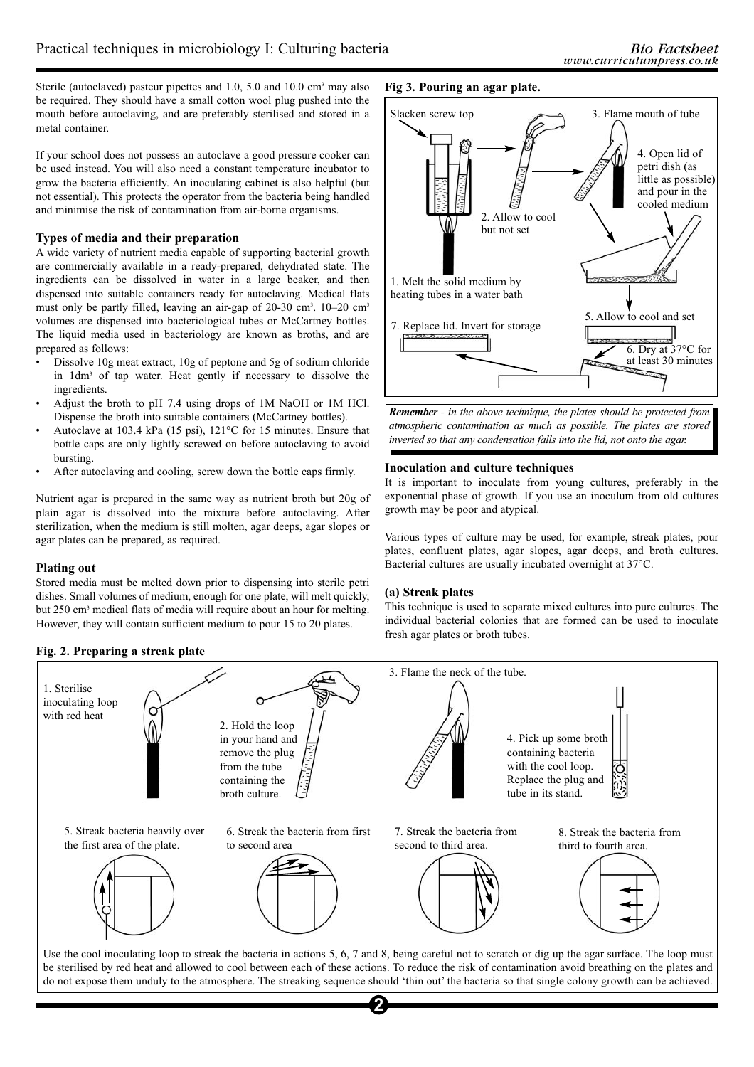Sterile (autoclaved) pasteur pipettes and  $1.0$ ,  $5.0$  and  $10.0$  cm<sup>3</sup> may also be required. They should have a small cotton wool plug pushed into the mouth before autoclaving, and are preferably sterilised and stored in a metal container.

If your school does not possess an autoclave a good pressure cooker can be used instead. You will also need a constant temperature incubator to grow the bacteria efficiently. An inoculating cabinet is also helpful (but not essential). This protects the operator from the bacteria being handled and minimise the risk of contamination from air-borne organisms.

#### **Types of media and their preparation**

A wide variety of nutrient media capable of supporting bacterial growth are commercially available in a ready-prepared, dehydrated state. The ingredients can be dissolved in water in a large beaker, and then dispensed into suitable containers ready for autoclaving. Medical flats must only be partly filled, leaving an air-gap of 20-30 cm<sup>3</sup>. 10–20 cm<sup>3</sup> volumes are dispensed into bacteriological tubes or McCartney bottles. The liquid media used in bacteriology are known as broths, and are prepared as follows:

- Dissolve 10g meat extract, 10g of peptone and 5g of sodium chloride in 1dm3 of tap water. Heat gently if necessary to dissolve the ingredients.
- Adjust the broth to pH 7.4 using drops of 1M NaOH or 1M HCl. Dispense the broth into suitable containers (McCartney bottles).
- Autoclave at 103.4 kPa (15 psi), 121°C for 15 minutes. Ensure that bottle caps are only lightly screwed on before autoclaving to avoid bursting.
- After autoclaving and cooling, screw down the bottle caps firmly.

Nutrient agar is prepared in the same way as nutrient broth but 20g of plain agar is dissolved into the mixture before autoclaving. After sterilization, when the medium is still molten, agar deeps, agar slopes or agar plates can be prepared, as required.

#### **Plating out**

Stored media must be melted down prior to dispensing into sterile petri dishes. Small volumes of medium, enough for one plate, will melt quickly, but 250 cm<sup>3</sup> medical flats of media will require about an hour for melting. However, they will contain sufficient medium to pour 15 to 20 plates.

#### **Fig. 2. Preparing a streak plate**



*Remember - in the above technique, the plates should be protected from atmospheric contamination as much as possible. The plates are stored inverted so that any condensation falls into the lid, not onto the agar.*

#### **Inoculation and culture techniques**

**Fig 3. Pouring an agar plate.**

It is important to inoculate from young cultures, preferably in the exponential phase of growth. If you use an inoculum from old cultures growth may be poor and atypical.

Various types of culture may be used, for example, streak plates, pour plates, confluent plates, agar slopes, agar deeps, and broth cultures. Bacterial cultures are usually incubated overnight at 37°C.

#### **(a) Streak plates**

This technique is used to separate mixed cultures into pure cultures. The individual bacterial colonies that are formed can be used to inoculate fresh agar plates or broth tubes.



be sterilised by red heat and allowed to cool between each of these actions. To reduce the risk of contamination avoid breathing on the plates and do not expose them unduly to the atmosphere. The streaking sequence should 'thin out' the bacteria so that single colony growth can be achieved.

**2**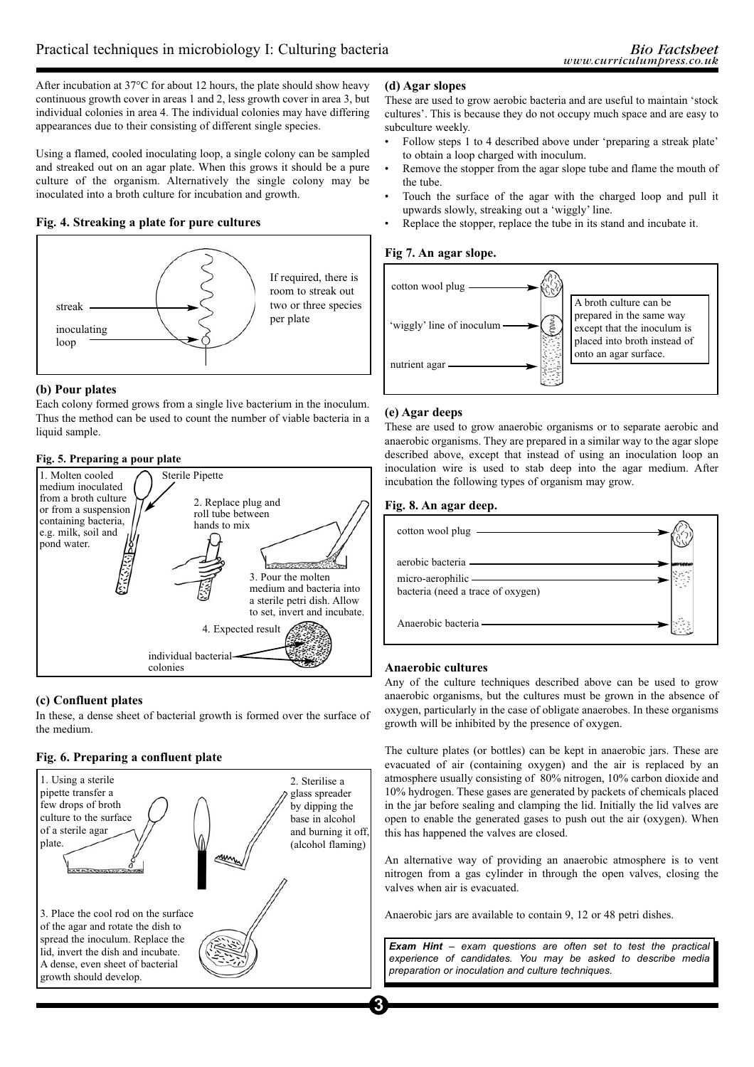After incubation at 37°C for about 12 hours, the plate should show heavy continuous growth cover in areas 1 and 2, less growth cover in area 3, but individual colonies in area 4. The individual colonies may have differing appearances due to their consisting of different single species.

Using a flamed, cooled inoculating loop, a single colony can be sampled and streaked out on an agar plate. When this grows it should be a pure culture of the organism. Alternatively the single colony may be inoculated into a broth culture for incubation and growth.

#### **Fig. 4. Streaking a plate for pure cultures**



#### **(b) Pour plates**

Each colony formed grows from a single live bacterium in the inoculum. Thus the method can be used to count the number of viable bacteria in a liquid sample.

#### **Fig. 5. Preparing a pour plate**



#### **(c) Confluent plates**

In these, a dense sheet of bacterial growth is formed over the surface of the medium.

#### **Fig. 6. Preparing a confluent plate**



#### **(d) Agar slopes**

These are used to grow aerobic bacteria and are useful to maintain 'stock cultures'. This is because they do not occupy much space and are easy to subculture weekly.

- Follow steps 1 to 4 described above under 'preparing a streak plate' to obtain a loop charged with inoculum.
- Remove the stopper from the agar slope tube and flame the mouth of the tube.
- Touch the surface of the agar with the charged loop and pull it upwards slowly, streaking out a 'wiggly' line.
- Replace the stopper, replace the tube in its stand and incubate it.

#### **Fig 7. An agar slope.**



#### **(e) Agar deeps**

These are used to grow anaerobic organisms or to separate aerobic and anaerobic organisms. They are prepared in a similar way to the agar slope described above, except that instead of using an inoculation loop an inoculation wire is used to stab deep into the agar medium. After incubation the following types of organism may grow.

#### **Fig. 8. An agar deep.**

| cotton wool plug ————————————————————                                                     |  |
|-------------------------------------------------------------------------------------------|--|
| aerobic bacteria —————————————<br>micro-aerophilic —<br>bacteria (need a trace of oxygen) |  |
| Anaerobic bacteria ————————————                                                           |  |

#### **Anaerobic cultures**

Any of the culture techniques described above can be used to grow anaerobic organisms, but the cultures must be grown in the absence of oxygen, particularly in the case of obligate anaerobes. In these organisms growth will be inhibited by the presence of oxygen.

The culture plates (or bottles) can be kept in anaerobic jars. These are evacuated of air (containing oxygen) and the air is replaced by an atmosphere usually consisting of 80% nitrogen, 10% carbon dioxide and 10% hydrogen. These gases are generated by packets of chemicals placed in the jar before sealing and clamping the lid. Initially the lid valves are open to enable the generated gases to push out the air (oxygen). When this has happened the valves are closed.

An alternative way of providing an anaerobic atmosphere is to vent nitrogen from a gas cylinder in through the open valves, closing the valves when air is evacuated.

Anaerobic jars are available to contain 9, 12 or 48 petri dishes.

*Exam Hint – exam questions are often set to test the practical experience of candidates. You may be asked to describe media preparation or inoculation and culture techniques.*